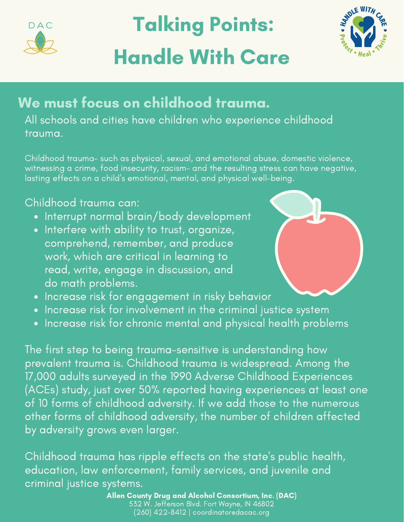

# Talking Points: Handle With Care



# We must focus on childhood trauma.

All schools and cities have children who experience childhood trauma.

Childhood trauma- such as physical, sexual, and emotional abuse, domestic violence, witnessing a crime, food insecurity, racism- and the resulting stress can have negative, lasting effects on a child's emotional, mental, and physical well-being.

#### Childhood trauma can:

- Interrupt normal brain/body development
- Interfere with ability to trust, organize, comprehend, remember, and produce work, which are critical in learning to read, write, engage in discussion, and do math problems.
- Increase risk for engagement in risky behavior
- Increase risk for involvement in the criminal justice system
- . Increase risk for chronic mental and physical health problems

The first step to being trauma-sensitive is understanding how prevalent trauma is. Childhood trauma is widespread. Among the 17,000 adults surveyed in the 1990 Adverse Childhood Experiences (ACEs) study, just over 50% reported having experiences at least one of 10 forms of childhood adversity. If we add those to the numerous other forms of childhood adversity, the number of children affected by adversity grows even larger.

Childhood trauma has ripple effects on the state's public health, education, law enforcement, family services, and juvenile and criminal justice systems.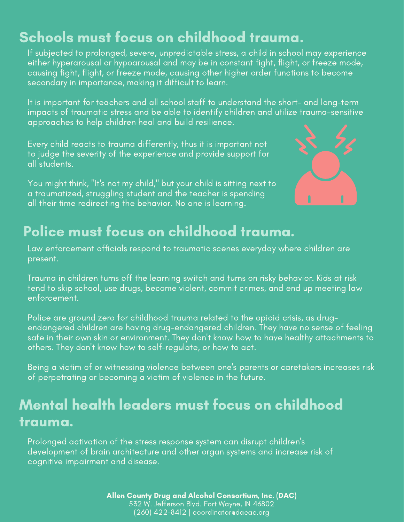## Schools must focus on childhood trauma.

If subjected to prolonged, severe, unpredictable stress, a child in school may experience either hyperarousal or hypoarousal and may be in constant fight, flight, or freeze mode, causing fight, flight, or freeze mode, causing other higher order functions to become secondary in importance, making it difficult to learn.

It is important for teachers and all school staff to understand the short- and long-term impacts of traumatic stress and be able to identify children and utilize trauma-sensitive approaches to help children heal and build resilience.

Every child reacts to trauma differently, thus it is important not to judge the severity of the experience and provide support for all students.

You might think, "It's not my child," but your child is sitting next to a traumatized, struggling student and the teacher is spending all their time redirecting the behavior. No one is learning.



### Police must focus on childhood trauma.

Law enforcement officials respond to traumatic scenes everyday where children are present.

Trauma in children turns off the learning switch and turns on risky behavior. Kids at risk tend to skip school, use drugs, become violent, commit crimes, and end up meeting law enforcement.

Police are ground zero for childhood trauma related to the opioid crisis, as drugendangered children are having drug-endangered children. They have no sense of feeling safe in their own skin or environment. They don't know how to have healthy attachments to others. They don't know how to self-regulate, or how to act.

Being a victim of or witnessing violence between one's parents or caretakers increases risk of perpetrating or becoming a victim of violence in the future.

# Mental health leaders must focus on childhood trauma.

Prolonged activation of the stress response system can disrupt children's development of brain architecture and other organ systems and increase risk of cognitive impairment and disease.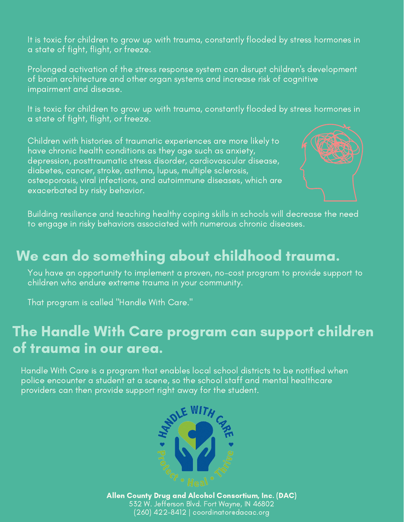It is toxic for children to grow up with trauma, constantly flooded by stress hormones in a state of fight, flight, or freeze.

Prolonged activation of the stress response system can disrupt children's development of brain architecture and other organ systems and increase risk of cognitive impairment and disease.

It is toxic for children to grow up with trauma, constantly flooded by stress hormones in a state of fight, flight, or freeze.

Children with histories of traumatic experiences are more likely to have chronic health conditions as they age such as anxiety, depression, posttraumatic stress disorder, cardiovascular disease, diabetes, cancer, stroke, asthma, lupus, multiple sclerosis, osteoporosis, viral infections, and autoimmune diseases, which are exacerbated by risky behavior.



Building resilience and teaching healthy coping skills in schools will decrease the need to engage in risky behaviors associated with numerous chronic diseases.

#### We can do something about childhood trauma.

You have an opportunity to implement a proven, no-cost program to provide support to children who endure extreme trauma in your community.

That program is called "Handle With Care."

### The Handle With Care program can support children of trauma in our area.

Handle With Care is a program that enables local school districts to be notified when police encounter a student at a scene, so the school staff and mental healthcare providers can then provide support right away for the student.